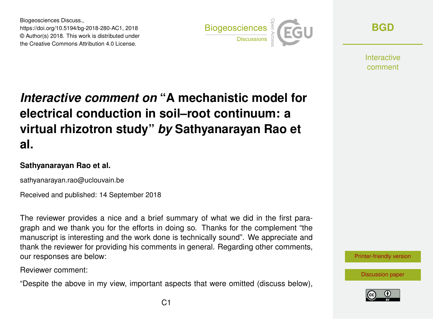Biogeosciences Discuss., https://doi.org/10.5194/bg-2018-280-AC1, 2018 © Author(s) 2018. This work is distributed under the Creative Commons Attribution 4.0 License.



**[BGD](https://www.biogeosciences-discuss.net/)**

**Interactive** comment

## *Interactive comment on* **"A mechanistic model for electrical conduction in soil–root continuum: a virtual rhizotron study"** *by* **Sathyanarayan Rao et al.**

## **Sathyanarayan Rao et al.**

sathyanarayan.rao@uclouvain.be

Received and published: 14 September 2018

The reviewer provides a nice and a brief summary of what we did in the first paragraph and we thank you for the efforts in doing so. Thanks for the complement "the manuscript is interesting and the work done is technically sound". We appreciate and thank the reviewer for providing his comments in general. Regarding other comments, our responses are below:

Reviewer comment:

"Despite the above in my view, important aspects that were omitted (discuss below),



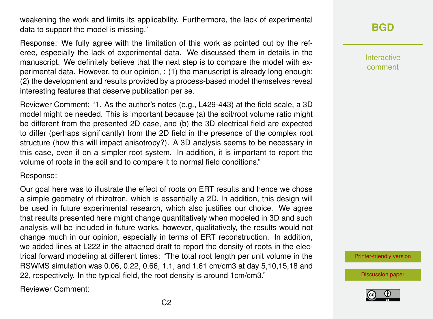weakening the work and limits its applicability. Furthermore, the lack of experimental data to support the model is missing."

Response: We fully agree with the limitation of this work as pointed out by the referee, especially the lack of experimental data. We discussed them in details in the manuscript. We definitely believe that the next step is to compare the model with experimental data. However, to our opinion, : (1) the manuscript is already long enough; (2) the development and results provided by a process-based model themselves reveal interesting features that deserve publication per se.

Reviewer Comment: "1. As the author's notes (e.g., L429-443) at the field scale, a 3D model might be needed. This is important because (a) the soil/root volume ratio might be different from the presented 2D case, and (b) the 3D electrical field are expected to differ (perhaps significantly) from the 2D field in the presence of the complex root structure (how this will impact anisotropy?). A 3D analysis seems to be necessary in this case, even if on a simpler root system. In addition, it is important to report the volume of roots in the soil and to compare it to normal field conditions."

## Response:

Our goal here was to illustrate the effect of roots on ERT results and hence we chose a simple geometry of rhizotron, which is essentially a 2D. In addition, this design will be used in future experimental research, which also justifies our choice. We agree that results presented here might change quantitatively when modeled in 3D and such analysis will be included in future works, however, qualitatively, the results would not change much in our opinion, especially in terms of ERT reconstruction. In addition, we added lines at L222 in the attached draft to report the density of roots in the electrical forward modeling at different times: "The total root length per unit volume in the RSWMS simulation was 0.06, 0.22, 0.66, 1.1, and 1.61 cm/cm3 at day 5,10,15,18 and 22, respectively. In the typical field, the root density is around 1cm/cm3."

Reviewer Comment:

## **[BGD](https://www.biogeosciences-discuss.net/)**

Interactive comment

[Printer-friendly version](https://www.biogeosciences-discuss.net/bg-2018-280/bg-2018-280-AC1-print.pdf)

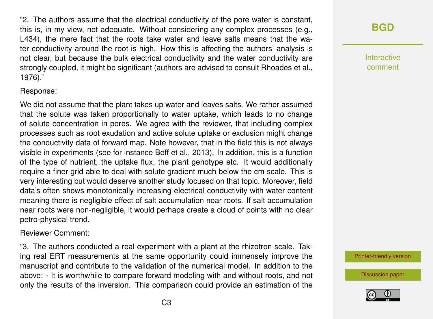"2. The authors assume that the electrical conductivity of the pore water is constant, this is, in my view, not adequate. Without considering any complex processes (e.g., L434), the mere fact that the roots take water and leave salts means that the water conductivity around the root is high. How this is affecting the authors' analysis is not clear, but because the bulk electrical conductivity and the water conductivity are strongly coupled, it might be significant (authors are advised to consult Rhoades et al., 1976)."

Response:

We did not assume that the plant takes up water and leaves salts. We rather assumed that the solute was taken proportionally to water uptake, which leads to no change of solute concentration in pores. We agree with the reviewer, that including complex processes such as root exudation and active solute uptake or exclusion might change the conductivity data of forward map. Note however, that in the field this is not always visible in experiments (see for instance Beff et al., 2013). In addition, this is a function of the type of nutrient, the uptake flux, the plant genotype etc. It would additionally require a finer grid able to deal with solute gradient much below the cm scale. This is very interesting but would deserve another study focused on that topic. Moreover, field data's often shows monotonically increasing electrical conductivity with water content meaning there is negligible effect of salt accumulation near roots. If salt accumulation near roots were non-negligible, it would perhaps create a cloud of points with no clear petro-physical trend.

Reviewer Comment:

"3. The authors conducted a real experiment with a plant at the rhizotron scale. Taking real ERT measurements at the same opportunity could immensely improve the manuscript and contribute to the validation of the numerical model. In addition to the above: - It is worthwhile to compare forward modeling with and without roots, and not only the results of the inversion. This comparison could provide an estimation of the

**[BGD](https://www.biogeosciences-discuss.net/)**

Interactive comment

[Printer-friendly version](https://www.biogeosciences-discuss.net/bg-2018-280/bg-2018-280-AC1-print.pdf)